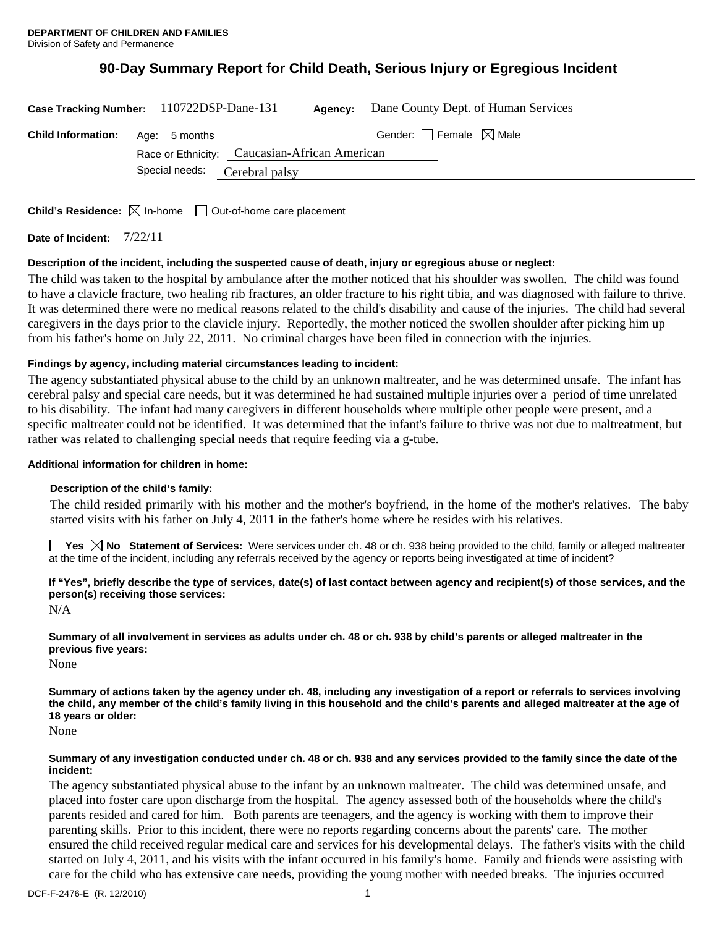# **90-Day Summary Report for Child Death, Serious Injury or Egregious Incident**

| Case Tracking Number: 110722DSP-Dane-131 |                | Agency:                                       | Dane County Dept. of Human Services    |  |
|------------------------------------------|----------------|-----------------------------------------------|----------------------------------------|--|
| <b>Child Information:</b> Age: 5 months  |                |                                               | Gender: $\Box$ Female $\boxtimes$ Male |  |
|                                          |                | Race or Ethnicity: Caucasian-African American |                                        |  |
|                                          | Special needs: | Cerebral palsy                                |                                        |  |
|                                          |                |                                               |                                        |  |

**Child's Residence:**  $\boxtimes$  In-home  $\Box$  Out-of-home care placement

**Date of Incident:** 7/22/11

# **Description of the incident, including the suspected cause of death, injury or egregious abuse or neglect:**

The child was taken to the hospital by ambulance after the mother noticed that his shoulder was swollen. The child was found to have a clavicle fracture, two healing rib fractures, an older fracture to his right tibia, and was diagnosed with failure to thrive. It was determined there were no medical reasons related to the child's disability and cause of the injuries. The child had several caregivers in the days prior to the clavicle injury. Reportedly, the mother noticed the swollen shoulder after picking him up from his father's home on July 22, 2011. No criminal charges have been filed in connection with the injuries.

## **Findings by agency, including material circumstances leading to incident:**

The agency substantiated physical abuse to the child by an unknown maltreater, and he was determined unsafe. The infant has cerebral palsy and special care needs, but it was determined he had sustained multiple injuries over a period of time unrelated to his disability. The infant had many caregivers in different households where multiple other people were present, and a specific maltreater could not be identified. It was determined that the infant's failure to thrive was not due to maltreatment, but rather was related to challenging special needs that require feeding via a g-tube.

## **Additional information for children in home:**

#### **Description of the child's family:**

The child resided primarily with his mother and the mother's boyfriend, in the home of the mother's relatives. The baby started visits with his father on July 4, 2011 in the father's home where he resides with his relatives.

■ Yes **No** Statement of Services: Were services under ch. 48 or ch. 938 being provided to the child, family or alleged maltreater at the time of the incident, including any referrals received by the agency or reports being investigated at time of incident?

**If "Yes", briefly describe the type of services, date(s) of last contact between agency and recipient(s) of those services, and the person(s) receiving those services:** 

N/A

**Summary of all involvement in services as adults under ch. 48 or ch. 938 by child's parents or alleged maltreater in the previous five years:** 

None

**Summary of actions taken by the agency under ch. 48, including any investigation of a report or referrals to services involving the child, any member of the child's family living in this household and the child's parents and alleged maltreater at the age of 18 years or older:** 

None

#### **Summary of any investigation conducted under ch. 48 or ch. 938 and any services provided to the family since the date of the incident:**

The agency substantiated physical abuse to the infant by an unknown maltreater. The child was determined unsafe, and placed into foster care upon discharge from the hospital. The agency assessed both of the households where the child's parents resided and cared for him. Both parents are teenagers, and the agency is working with them to improve their parenting skills. Prior to this incident, there were no reports regarding concerns about the parents' care. The mother ensured the child received regular medical care and services for his developmental delays. The father's visits with the child started on July 4, 2011, and his visits with the infant occurred in his family's home. Family and friends were assisting with care for the child who has extensive care needs, providing the young mother with needed breaks. The injuries occurred